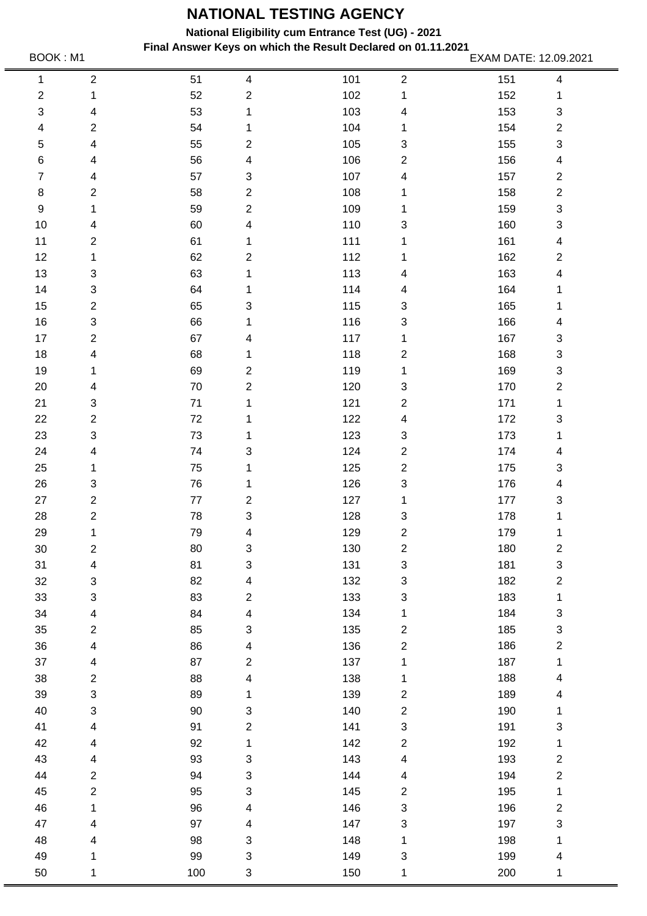**National Eligibility cum Entrance Test (UG) - 2021**

**Final Answer Keys on which the Result Declared on 01.11.2021** BOOK : M1 **EXAM DATE: 12.09.2021**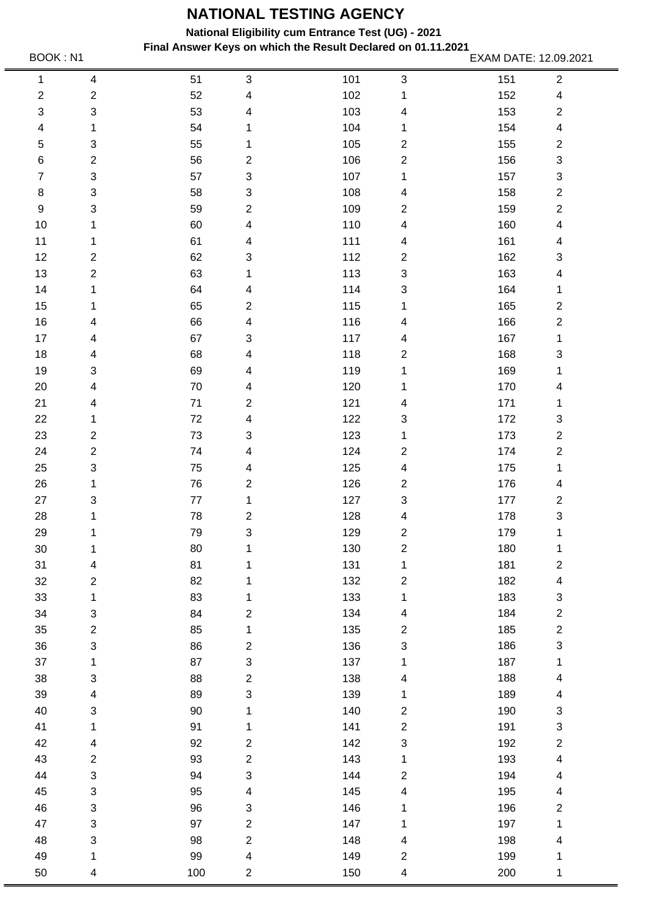**National Eligibility cum Entrance Test (UG) - 2021**

**Final Answer Keys on which the Result Declared on 01.11.2021** BOOK : N1 **EXAM DATE: 12.09.2021**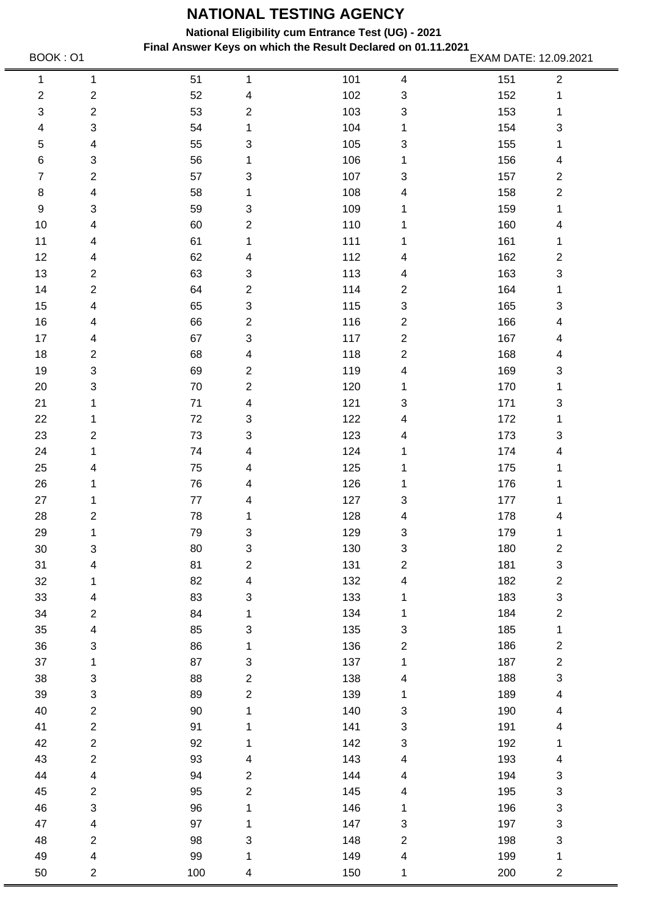**National Eligibility cum Entrance Test (UG) - 2021**

**Final Answer Keys on which the Result Declared on 01.11.2021** BOOK : 01 **EXAM DATE: 12.09.2021**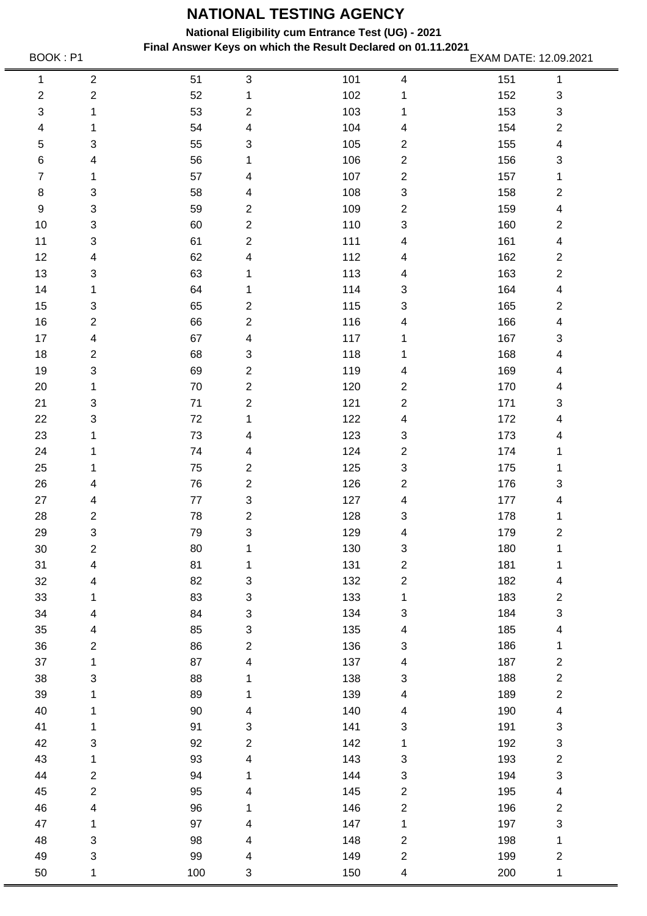**National Eligibility cum Entrance Test (UG) - 2021**

**Final Answer Keys on which the Result Declared on 01.11.2021** BOOK : P1 **EXAM DATE: 12.09.2021**<br>EXAM DATE: 12.09.2021

| 1              | $\boldsymbol{2}$        | 51       | $\ensuremath{\mathsf{3}}$ | 101 | 4                                | 151        | $\mathbf 1$                    |
|----------------|-------------------------|----------|---------------------------|-----|----------------------------------|------------|--------------------------------|
| $\mathbf{2}$   | $\overline{\mathbf{c}}$ | 52       | 1                         | 102 | 1                                | 152        | $\ensuremath{\mathsf{3}}$      |
| 3              | 1                       | 53       | $\boldsymbol{2}$          | 103 | 1                                | 153        | $\ensuremath{\mathsf{3}}$      |
| 4              | 1                       | 54       | $\overline{\mathbf{4}}$   | 104 | 4                                | 154        | $\boldsymbol{2}$               |
| 5              | 3                       | 55       | 3                         | 105 | $\overline{c}$                   | 155        | $\overline{\mathbf{4}}$        |
| 6              | 4                       | 56       | 1                         | 106 | $\overline{c}$                   | 156        | $\ensuremath{\mathsf{3}}$      |
| $\overline{7}$ | 1                       | 57       | 4                         | 107 | $\sqrt{2}$                       | 157        | 1                              |
| $\,8\,$        | 3                       | 58       | 4                         | 108 | $\sqrt{3}$                       | 158        | $\boldsymbol{2}$               |
| 9              | 3                       | 59       | $\overline{c}$            | 109 | $\overline{c}$                   | 159        | $\overline{\mathcal{A}}$       |
| 10             | 3                       | 60       | $\mathbf{2}$              | 110 | 3                                | 160        | $\boldsymbol{2}$               |
| 11             | 3                       | 61       | $\boldsymbol{2}$          | 111 | 4                                | 161        | $\overline{\mathbf{4}}$        |
| 12             | 4                       | 62       | 4                         | 112 | 4                                | 162        | $\boldsymbol{2}$               |
| 13             | 3                       | 63       | 1                         | 113 | 4                                | 163        | $\boldsymbol{2}$               |
| 14             | 1                       | 64       | 1                         | 114 | 3                                | 164        | $\overline{\mathbf{4}}$        |
| 15             | 3                       | 65       | $\overline{c}$            | 115 | 3                                | 165        | $\boldsymbol{2}$               |
| 16             | $\overline{2}$          | 66       | $\overline{2}$            | 116 | 4                                | 166        | $\overline{\mathbf{4}}$        |
| 17             | 4                       | 67       | 4                         | 117 | 1                                | 167        | $\ensuremath{\mathsf{3}}$      |
| 18             | $\overline{\mathbf{c}}$ | 68       | $\ensuremath{\mathsf{3}}$ | 118 | 1                                | 168        | $\overline{\mathcal{A}}$       |
| 19             | 3                       | 69       | $\boldsymbol{2}$          | 119 | 4                                | 169        | $\overline{\mathcal{A}}$       |
| 20             | 1                       | 70       | $\boldsymbol{2}$          | 120 | $\overline{c}$                   | 170        | $\overline{\mathcal{A}}$       |
| 21             | 3                       | 71       | $\boldsymbol{2}$          | 121 | $\sqrt{2}$                       | 171        | $\ensuremath{\mathsf{3}}$      |
| 22             | 3                       | 72       | 1                         | 122 | 4                                | 172        | 4                              |
| 23             | 1                       | 73       | 4                         | 123 | $\sqrt{3}$                       | 173        | 4                              |
| 24             | 1                       | 74       | 4                         | 124 | $\mathbf{2}$                     | 174        | 1                              |
| 25             | 1                       | 75       | $\boldsymbol{2}$          | 125 | $\ensuremath{\mathsf{3}}$        | 175        |                                |
| 26             | 4                       | 76       | $\boldsymbol{2}$          | 126 | $\overline{c}$                   | 176        | 1<br>$\ensuremath{\mathsf{3}}$ |
| 27             | 4                       | $77$     | $\ensuremath{\mathsf{3}}$ | 127 | 4                                | 177        | $\overline{\mathcal{A}}$       |
| 28             | $\overline{c}$          | 78       | $\boldsymbol{2}$          | 128 | 3                                | 178        | 1                              |
| 29             | 3                       | 79       | $\ensuremath{\mathsf{3}}$ | 129 | 4                                | 179        | $\overline{\mathbf{c}}$        |
| $30\,$         | $\overline{c}$          | 80       | 1                         | 130 | 3                                | 180        | 1                              |
| 31             |                         |          |                           | 131 |                                  |            |                                |
| 32             | 4                       | 81<br>82 | 1<br>3                    | 132 | $\overline{c}$<br>$\overline{c}$ | 181<br>182 | 1                              |
| 33             | 4                       |          | 3                         |     |                                  |            | $\overline{\mathbf{4}}$        |
|                | 1                       | 83       |                           | 133 | $\mathbf 1$                      | 183        | $\overline{\mathbf{c}}$        |
| 34             | 4                       | 84       | $\ensuremath{\mathsf{3}}$ | 134 | 3                                | 184        | $\ensuremath{\mathsf{3}}$      |
| 35             | 4                       | 85       | 3                         | 135 | 4                                | 185        | $\overline{\mathbf{4}}$        |
| 36             | $\overline{\mathbf{c}}$ | 86       | $\mathbf{2}$              | 136 | 3                                | 186        | 1                              |
| 37             | 1                       | 87       | $\overline{\mathbf{4}}$   | 137 | 4                                | 187        | $\overline{\mathbf{c}}$        |
| 38             | 3                       | 88       | 1                         | 138 | 3                                | 188        | $\boldsymbol{2}$               |
| 39             | 1                       | 89       | 1                         | 139 | 4                                | 189        | $\sqrt{2}$                     |
| 40             | 1                       | 90       | 4                         | 140 | 4                                | 190        | $\overline{\mathbf{4}}$        |
| 41             | 1                       | 91       | 3                         | 141 | 3                                | 191        | $\mathbf{3}$                   |
| 42             | 3                       | 92       | $\mathbf{2}$              | 142 | 1                                | 192        | $\mathsf 3$                    |
| 43             | 1                       | 93       | $\overline{\mathbf{4}}$   | 143 | 3                                | 193        | $\boldsymbol{2}$               |
| 44             | $\overline{c}$          | 94       | 1                         | 144 | 3                                | 194        | $\ensuremath{\mathsf{3}}$      |
| 45             | $\overline{\mathbf{c}}$ | 95       | 4                         | 145 | $\overline{c}$                   | 195        | $\overline{\mathbf{4}}$        |
| 46             | 4                       | 96       | 1                         | 146 | $\sqrt{2}$                       | 196        | $\overline{\mathbf{c}}$        |
| 47             | 1                       | 97       | 4                         | 147 | $\mathbf{1}$                     | 197        | $\ensuremath{\mathsf{3}}$      |
| 48             | 3                       | 98       | 4                         | 148 | $\overline{c}$                   | 198        | 1                              |
| 49             | 3                       | 99       | 4                         | 149 | $\overline{\mathbf{c}}$          | 199        | $\overline{\mathbf{c}}$        |
| 50             | 1                       | 100      | 3                         | 150 | 4                                | 200        | 1                              |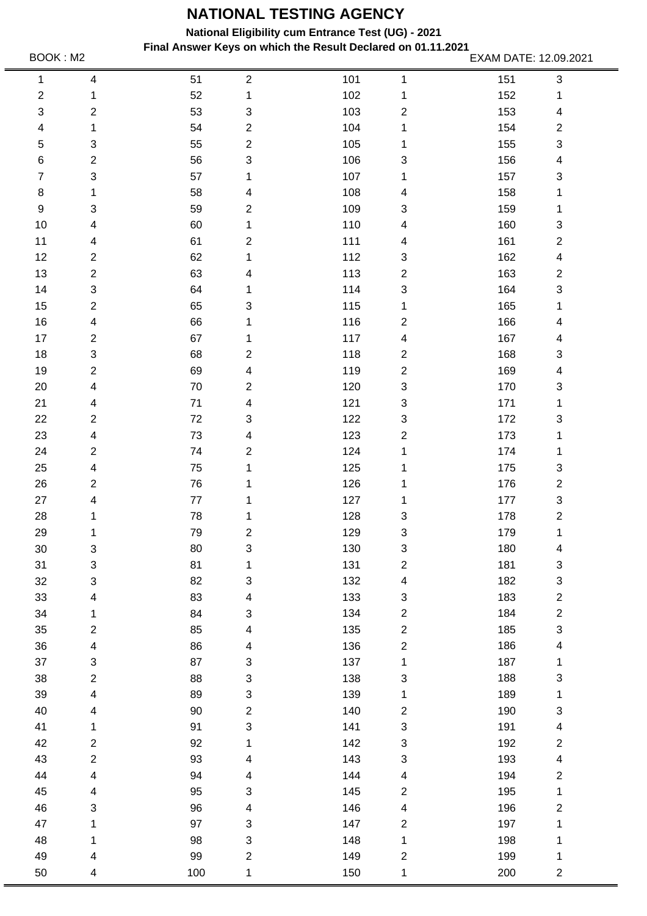**National Eligibility cum Entrance Test (UG) - 2021**

**Final Answer Keys on which the Result Declared on 01.11.2021** BOOK : M2 **EXAM DATE: 12.09.2021** 

150 1

200 2

50 4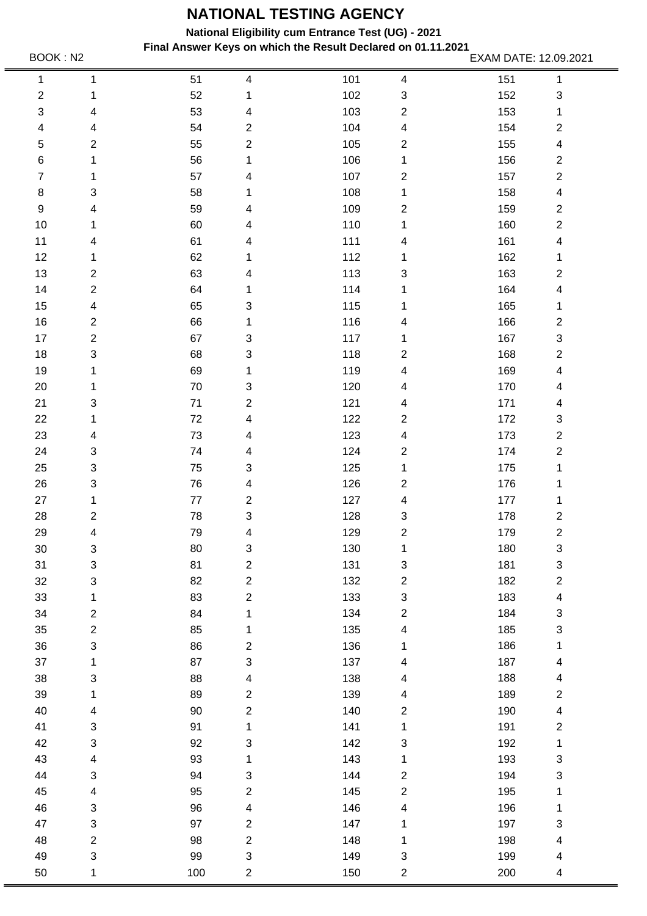**National Eligibility cum Entrance Test (UG) - 2021**

**Final Answer Keys on which the Result Declared on 01.11.2021** BOOK : N2 **EXAM DATE: 12.09.2021**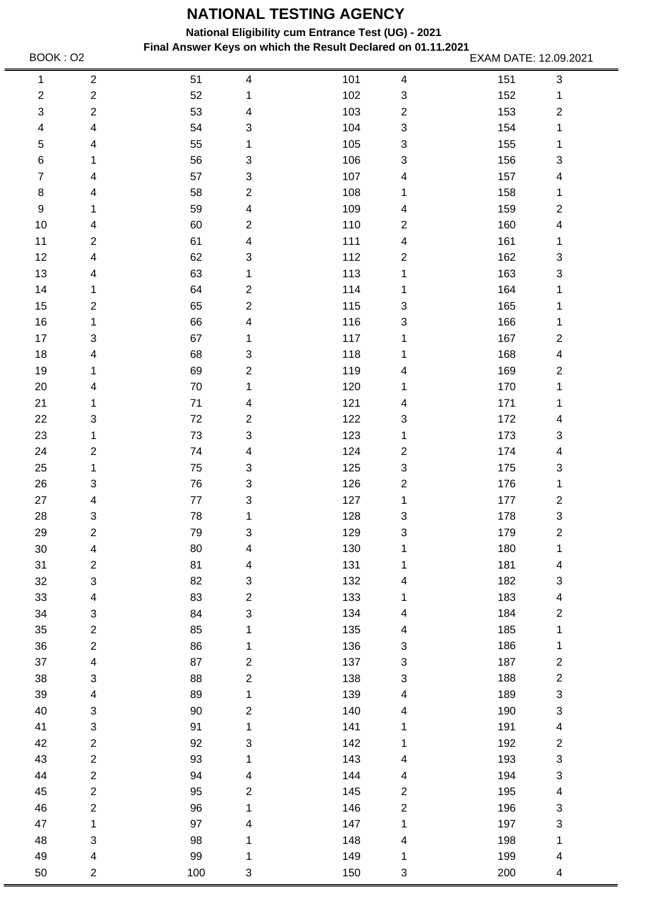**National Eligibility cum Entrance Test (UG) - 2021**

**Final Answer Keys on which the Result Declared on 01.11.2021** BOOK : 02 EXAM DATE: 12.09.2021

150 3

200 4

50 2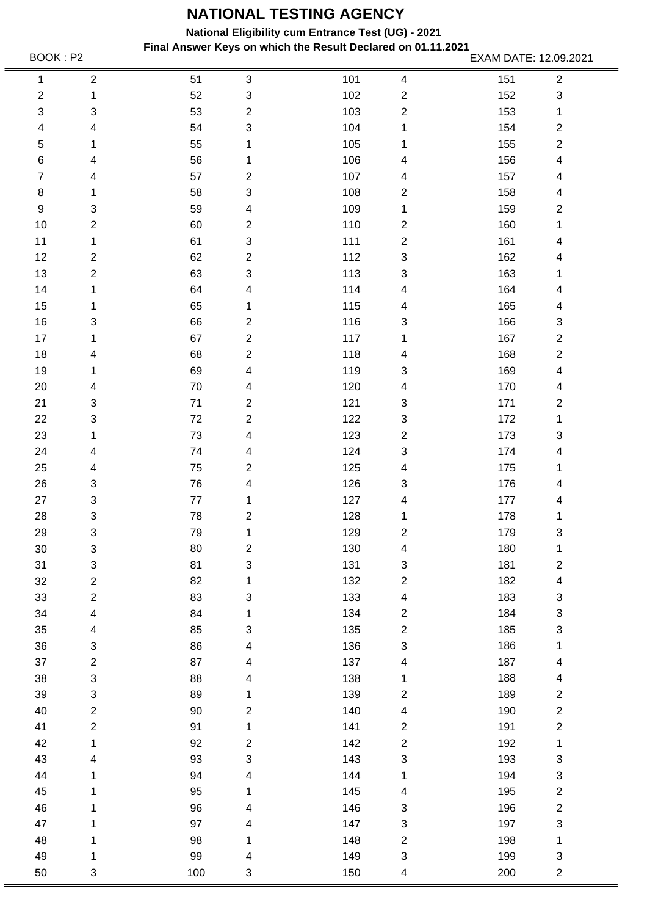**National Eligibility cum Entrance Test (UG) - 2021**

**Final Answer Keys on which the Result Declared on 01.11.2021** BOOK : P2 EXAM DATE: 12.09.2021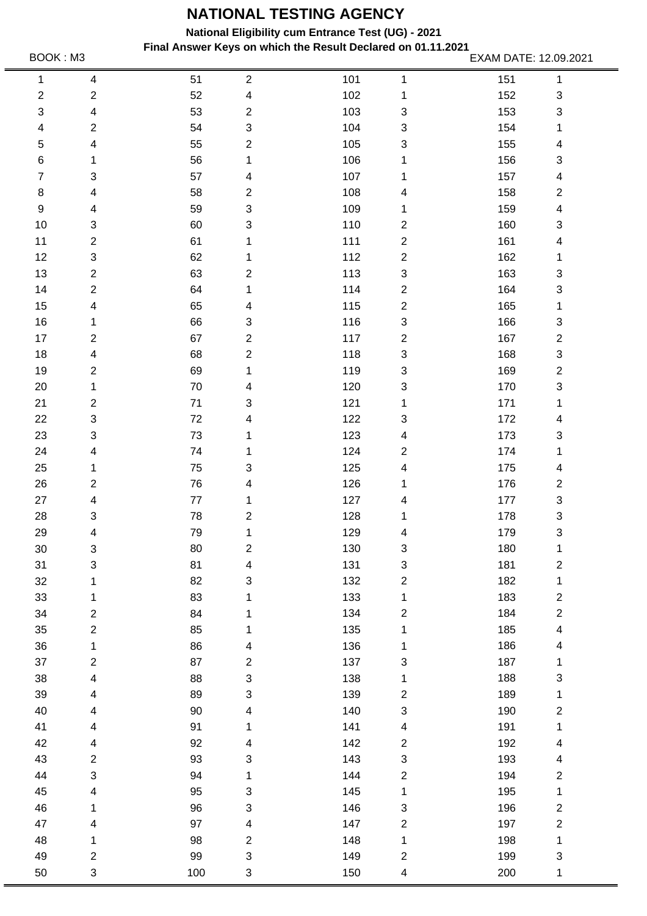**National Eligibility cum Entrance Test (UG) - 2021**

**Final Answer Keys on which the Result Declared on 01.11.2021** BOOK : M3 **EXAM DATE: 12.09.2021**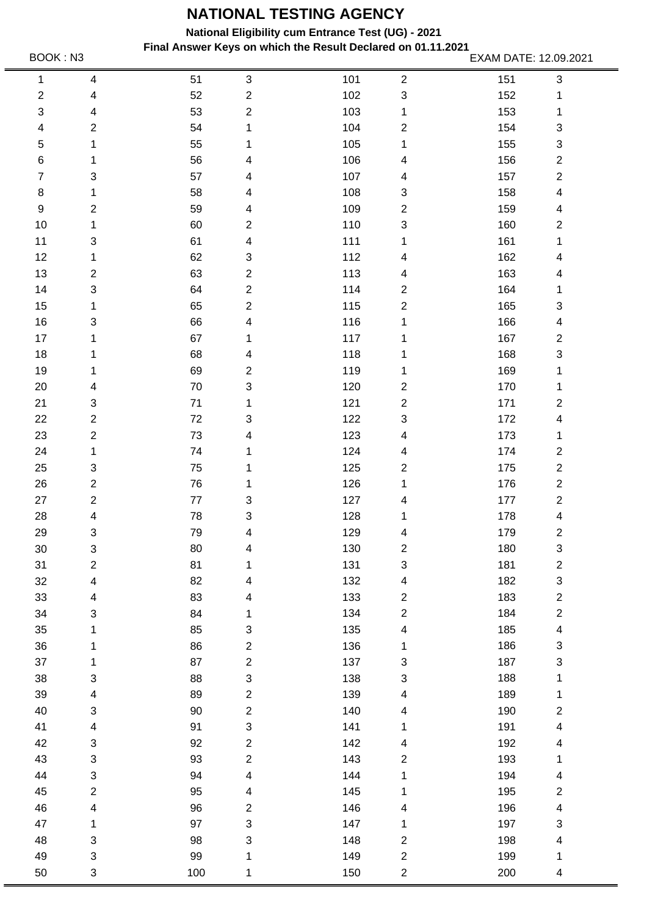**National Eligibility cum Entrance Test (UG) - 2021**

**Final Answer Keys on which the Result Declared on 01.11.2021** BOOK : N3 EXAM DATE: 12.09.2021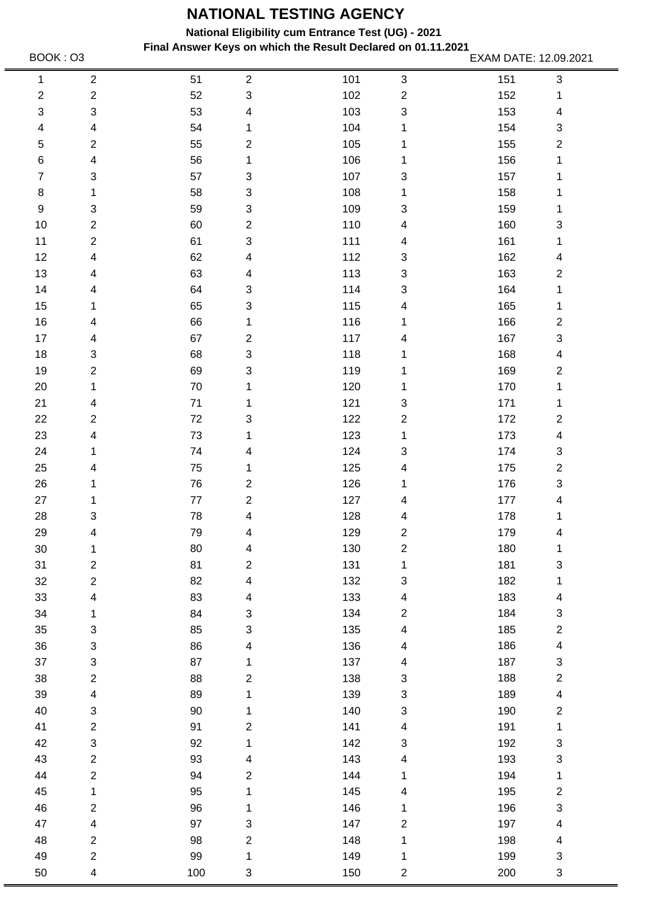**National Eligibility cum Entrance Test (UG) - 2021**

**Final Answer Keys on which the Result Declared on 01.11.2021** BOOK : 03 **EXAM DATE: 12.09.2021**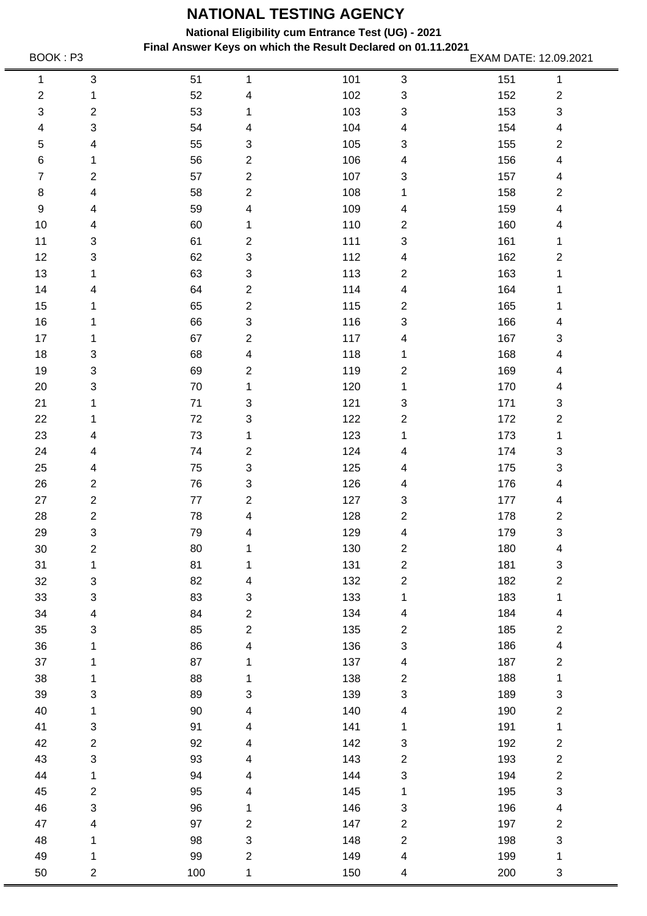**National Eligibility cum Entrance Test (UG) - 2021**

**Final Answer Keys on which the Result Declared on 01.11.2021** BOOK : P3 EXAM DATE: 12.09.2021

150 4

200 3

50 2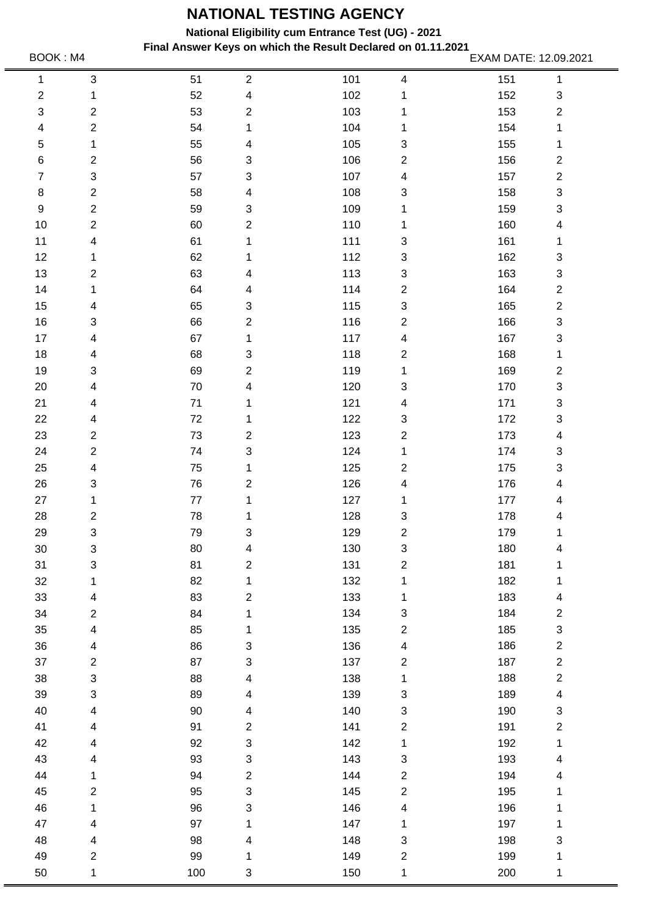**National Eligibility cum Entrance Test (UG) - 2021**

**Final Answer Keys on which the Result Declared on 01.11.2021** . BOOK : M4 **EXAM DATE: 12.09.2021**<br>EXAM DATE: 12.09.2021

150 1

200 1

50 1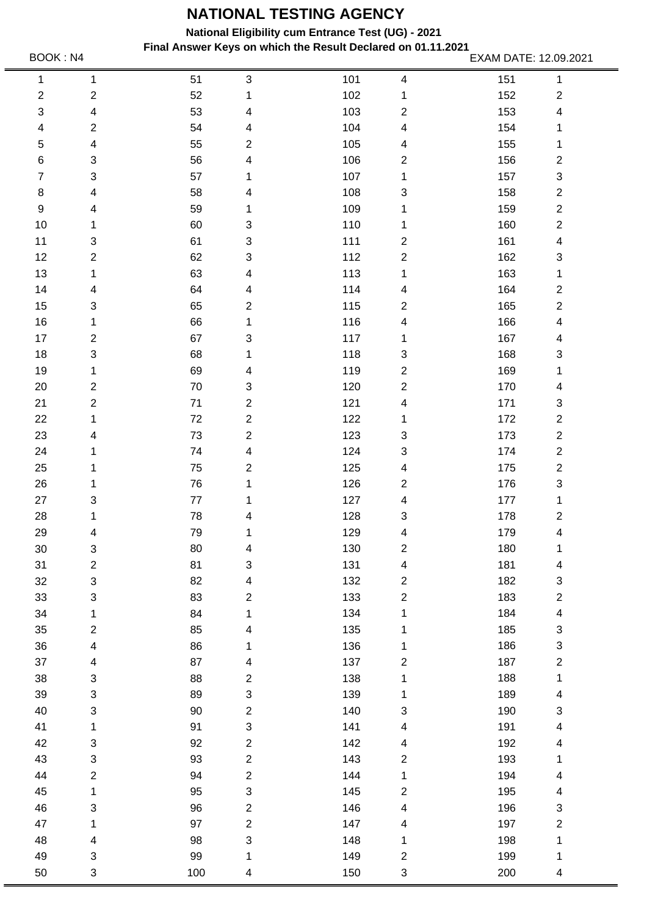**National Eligibility cum Entrance Test (UG) - 2021**

**Final Answer Keys on which the Result Declared on 01.11.2021** BOOK : N4 **EXAM DATE: 12.09.2021**<br>EXAM DATE: 12.09.2021

| 1                | $\mathbf 1$               | 51   | $\ensuremath{\mathsf{3}}$ | 101 | 4                       | 151 | $\mathbf{1}$              |
|------------------|---------------------------|------|---------------------------|-----|-------------------------|-----|---------------------------|
| $\overline{c}$   | $\boldsymbol{2}$          | 52   | 1                         | 102 | 1                       | 152 | $\overline{\mathbf{c}}$   |
| 3                | 4                         | 53   | 4                         | 103 | $\overline{\mathbf{c}}$ | 153 | $\overline{\mathcal{A}}$  |
| 4                | $\boldsymbol{2}$          | 54   | 4                         | 104 | 4                       | 154 | 1                         |
| 5                | 4                         | 55   | $\overline{\mathbf{c}}$   | 105 | 4                       | 155 | 1                         |
| 6                | 3                         | 56   | 4                         | 106 | $\overline{\mathbf{c}}$ | 156 | $\overline{\mathbf{c}}$   |
| $\overline{7}$   | 3                         | 57   | 1                         | 107 | 1                       | 157 | 3                         |
| $\,8\,$          | 4                         | 58   | 4                         | 108 | 3                       | 158 | $\overline{\mathbf{c}}$   |
| $\boldsymbol{9}$ | 4                         | 59   | 1                         | 109 | 1                       | 159 | $\overline{\mathbf{c}}$   |
| 10               | 1                         | 60   | $\ensuremath{\mathsf{3}}$ | 110 | 1                       | 160 | $\overline{\mathbf{c}}$   |
| 11               | 3                         | 61   | $\ensuremath{\mathsf{3}}$ | 111 | $\boldsymbol{2}$        | 161 | 4                         |
| 12               | $\overline{c}$            | 62   | $\ensuremath{\mathsf{3}}$ | 112 | $\boldsymbol{2}$        | 162 | $\boldsymbol{3}$          |
| 13               | 1                         | 63   | 4                         | 113 | 1                       | 163 | 1                         |
| 14               | 4                         | 64   | 4                         | 114 | 4                       | 164 | $\overline{\mathbf{c}}$   |
| 15               | 3                         | 65   | $\mathbf{2}$              | 115 | $\overline{\mathbf{c}}$ | 165 | $\overline{\mathbf{c}}$   |
| 16               | 1                         | 66   | 1                         | 116 | 4                       | 166 | $\overline{\mathbf{4}}$   |
| 17               | $\boldsymbol{2}$          | 67   | 3                         | 117 | 1                       | 167 | 4                         |
| 18               | $\ensuremath{\mathsf{3}}$ | 68   | 1                         | 118 | 3                       | 168 | 3                         |
| 19               | 1                         | 69   | 4                         | 119 | 2                       | 169 | 1                         |
| 20               | $\overline{c}$            | 70   | $\ensuremath{\mathsf{3}}$ | 120 | $\overline{\mathbf{c}}$ | 170 | 4                         |
| 21               | $\overline{c}$            | 71   | $\overline{c}$            | 121 | 4                       | 171 | 3                         |
| 22               | 1                         | 72   | $\overline{c}$            | 122 | 1                       | 172 | $\overline{\mathbf{c}}$   |
| 23               | 4                         | 73   | $\mathbf{2}$              | 123 | 3                       | 173 | $\overline{\mathbf{c}}$   |
| 24               | 1                         | 74   | $\overline{\mathbf{4}}$   | 124 | 3                       | 174 | $\overline{\mathbf{c}}$   |
| 25               | 1                         | 75   | $\boldsymbol{2}$          | 125 | 4                       | 175 | $\overline{\mathbf{c}}$   |
| 26               | 1                         | 76   | 1                         | 126 | $\overline{\mathbf{c}}$ | 176 | 3                         |
| 27               | 3                         | $77$ | 1                         | 127 | 4                       | 177 | 1                         |
| 28               | 1                         | 78   | 4                         | 128 | 3                       | 178 | $\overline{\mathbf{c}}$   |
| 29               | 4                         | 79   | 1                         | 129 | 4                       | 179 | 4                         |
| 30               | 3                         | 80   | 4                         | 130 | 2                       | 180 | 1                         |
| 31               | $\overline{c}$            | 81   | 3                         | 131 | 4                       | 181 | $\overline{\mathcal{A}}$  |
| 32               | $\ensuremath{\mathsf{3}}$ | 82   | $\overline{\mathcal{A}}$  | 132 | $\overline{c}$          | 182 | 3                         |
| 33               | $\ensuremath{\mathsf{3}}$ | 83   | $\overline{c}$            | 133 | $\overline{c}$          | 183 | $\overline{\mathbf{c}}$   |
| 34               | 1                         | 84   | 1                         | 134 | 1                       | 184 | $\overline{\mathbf{4}}$   |
| 35               | $\overline{c}$            | 85   | 4                         | 135 | 1                       | 185 | $\ensuremath{\mathsf{3}}$ |
| 36               | $\overline{\mathcal{A}}$  | 86   | 1                         | 136 | 1                       | 186 | 3                         |
| 37               | $\overline{\mathcal{A}}$  | 87   | $\overline{\mathbf{4}}$   | 137 | $\overline{\mathbf{c}}$ | 187 | $\boldsymbol{2}$          |
| 38               | $\ensuremath{\mathsf{3}}$ | 88   | $\overline{c}$            | 138 | 1                       | 188 | $\mathbf{1}$              |
| 39               | $\ensuremath{\mathsf{3}}$ | 89   | $\ensuremath{\mathsf{3}}$ | 139 | 1                       | 189 | 4                         |
| 40               | $\ensuremath{\mathsf{3}}$ | 90   | $\overline{c}$            | 140 | 3                       | 190 | 3                         |
| 41               | 1                         | 91   | $\ensuremath{\mathsf{3}}$ | 141 | 4                       | 191 | $\overline{\mathbf{4}}$   |
| 42               | $\ensuremath{\mathsf{3}}$ | 92   | $\overline{c}$            | 142 | 4                       | 192 | 4                         |
| 43               | $\ensuremath{\mathsf{3}}$ | 93   | $\overline{c}$            | 143 | $\overline{c}$          | 193 | 1                         |
| 44               | $\overline{c}$            | 94   | $\overline{c}$            | 144 | $\mathbf 1$             | 194 | $\overline{\mathcal{A}}$  |
| 45               | 1                         | 95   | $\ensuremath{\mathsf{3}}$ | 145 | $\overline{\mathbf{c}}$ | 195 | 4                         |
| 46               | $\ensuremath{\mathsf{3}}$ | 96   | $\overline{2}$            | 146 | 4                       | 196 | 3                         |
| 47               | 1                         | 97   | $\overline{c}$            | 147 | 4                       | 197 | $\overline{\mathbf{c}}$   |
| 48               | 4                         | 98   | $\ensuremath{\mathsf{3}}$ | 148 | 1                       | 198 | 1                         |
| 49               | $\ensuremath{\mathsf{3}}$ | 99   | 1                         | 149 | $\overline{\mathbf{c}}$ | 199 | 1                         |
| 50               | $\ensuremath{\mathsf{3}}$ | 100  | 4                         | 150 | 3                       | 200 | 4                         |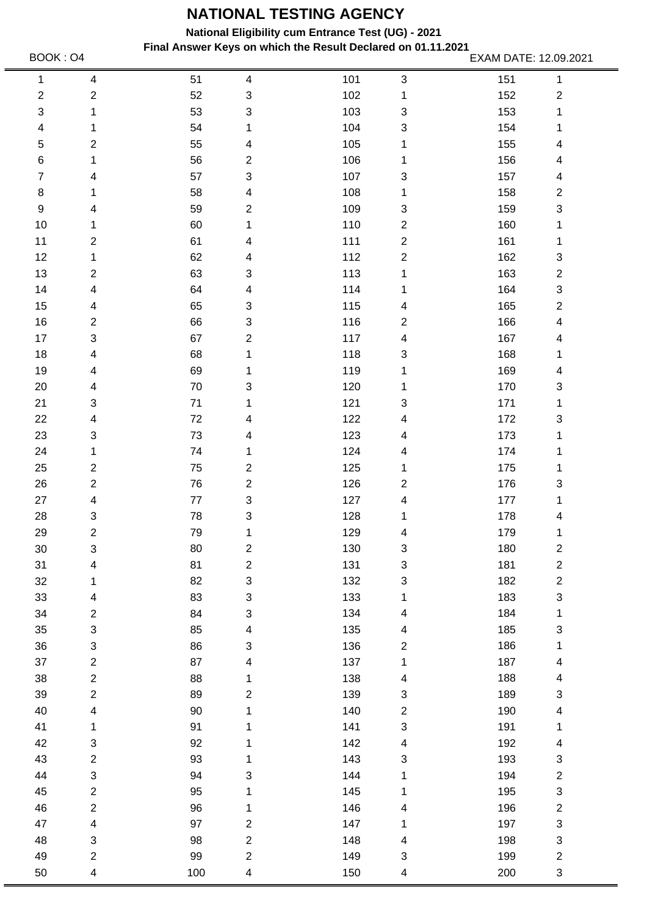**National Eligibility cum Entrance Test (UG) - 2021**

**Final Answer Keys on which the Result Declared on 01.11.2021** BOOK : 04 **EXAM DATE: 12.09.2021** 

150 4

200 3

50 4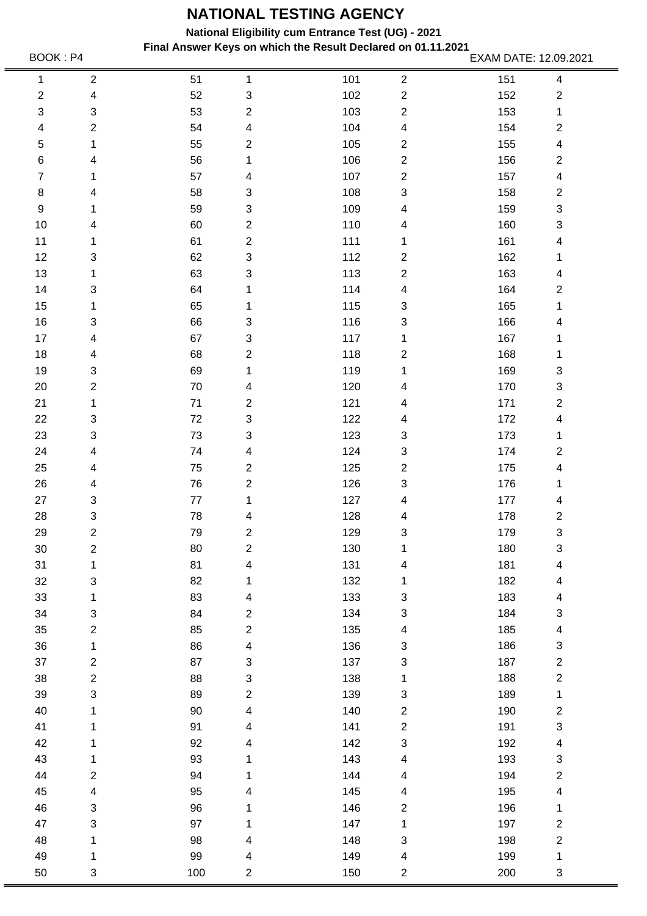**National Eligibility cum Entrance Test (UG) - 2021**

**Final Answer Keys on which the Result Declared on 01.11.2021** BOOK : P4 **EXAM DATE: 12.09.2021**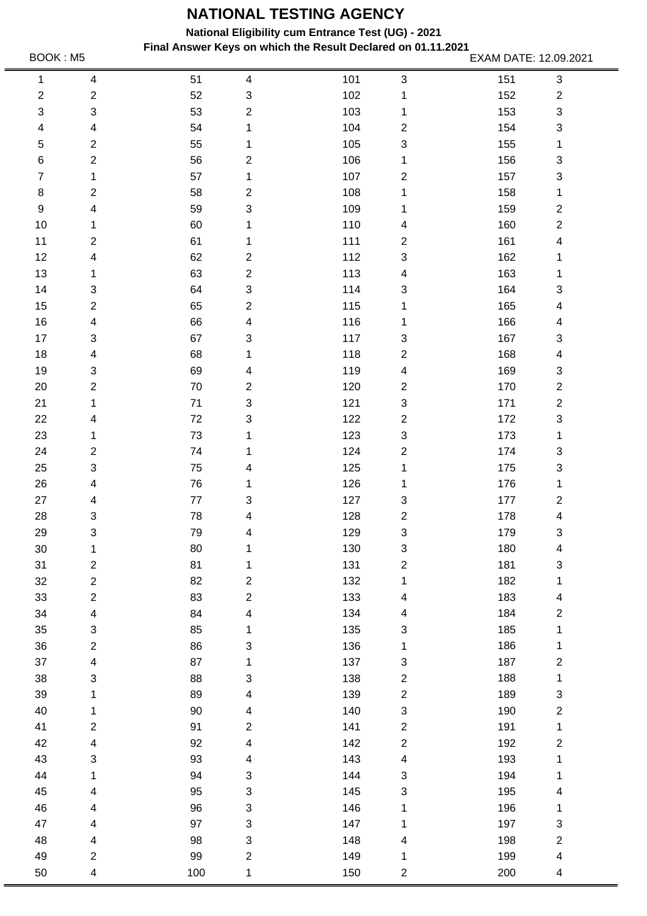**National Eligibility cum Entrance Test (UG) - 2021**

**Final Answer Keys on which the Result Declared on 01.11.2021** BOOK : M5 EXAM DATE: 12.09.2021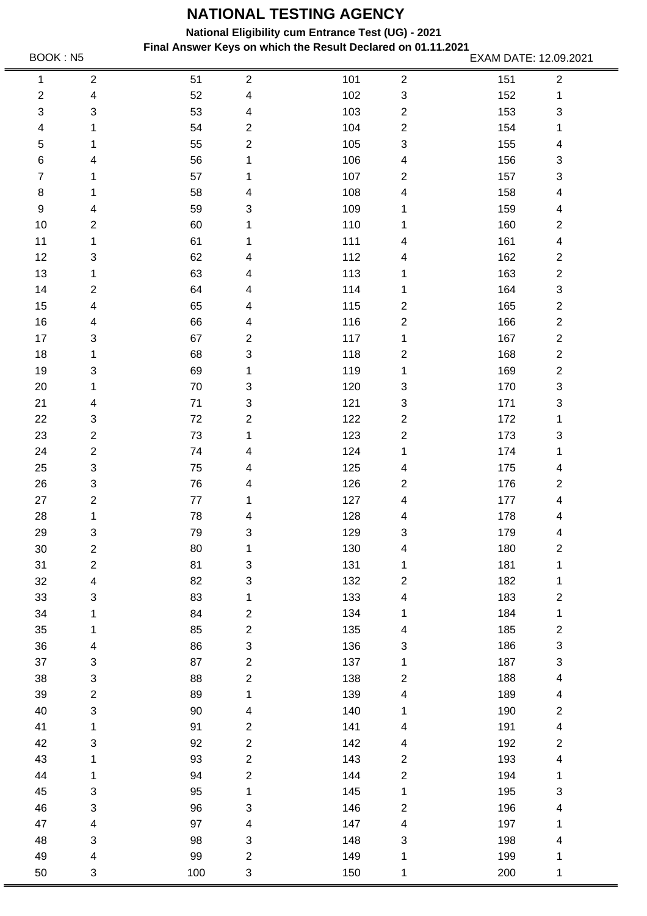**National Eligibility cum Entrance Test (UG) - 2021**

**Final Answer Keys on which the Result Declared on 01.11.2021** BOOK : N5 EXAM DATE: 12.09.2021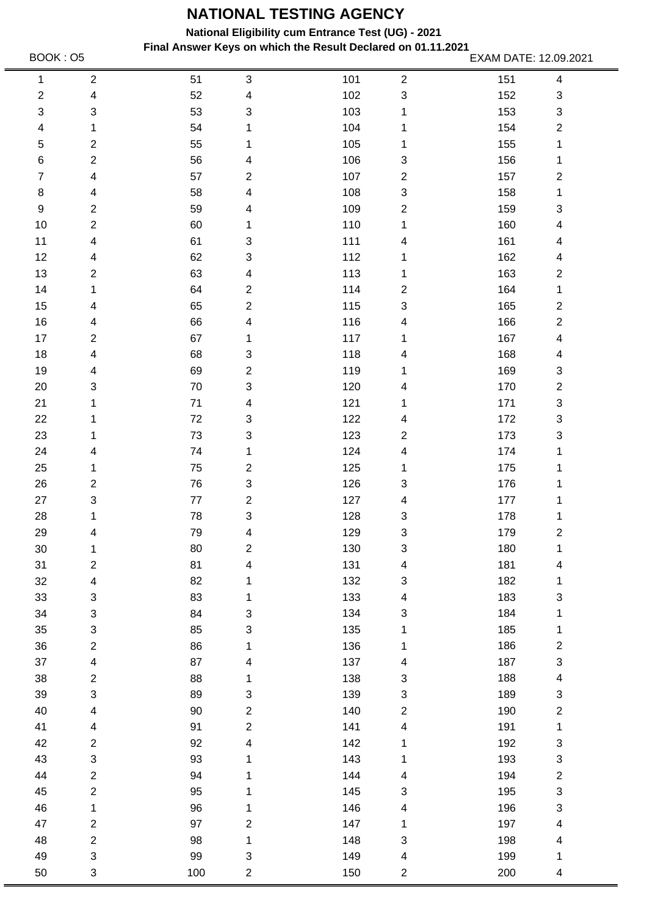**National Eligibility cum Entrance Test (UG) - 2021**

**Final Answer Keys on which the Result Declared on 01.11.2021** BOOK : O5 EXAM DATE: 12.09.2021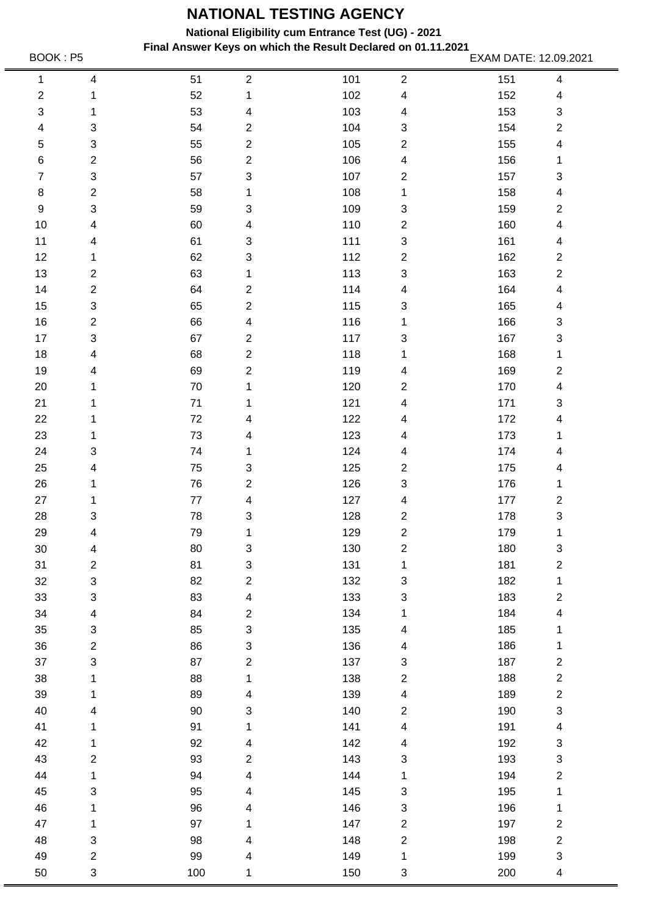**National Eligibility cum Entrance Test (UG) - 2021**

**Final Answer Keys on which the Result Declared on 01.11.2021** BOOK : P5 **EXAM DATE: 12.09.2021** 

150 3

200 4

50 3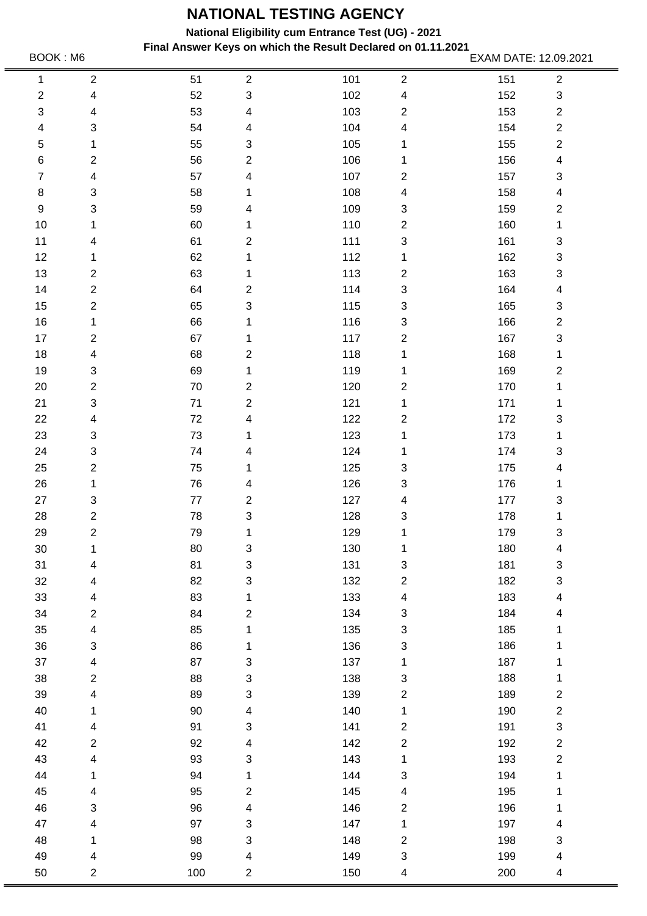**National Eligibility cum Entrance Test (UG) - 2021**

**Final Answer Keys on which the Result Declared on 01.11.2021** BOOK : M6 **EXAM DATE: 12.09.2021**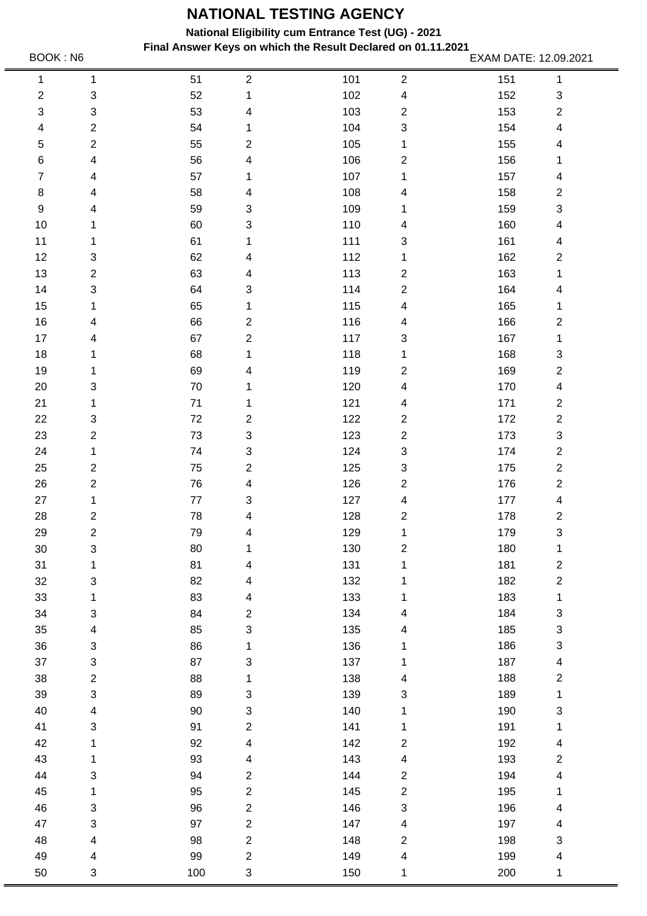**National Eligibility cum Entrance Test (UG) - 2021**

**Final Answer Keys on which the Result Declared on 01.11.2021** BOOK : N6 **EXAM DATE: 12.09.2021**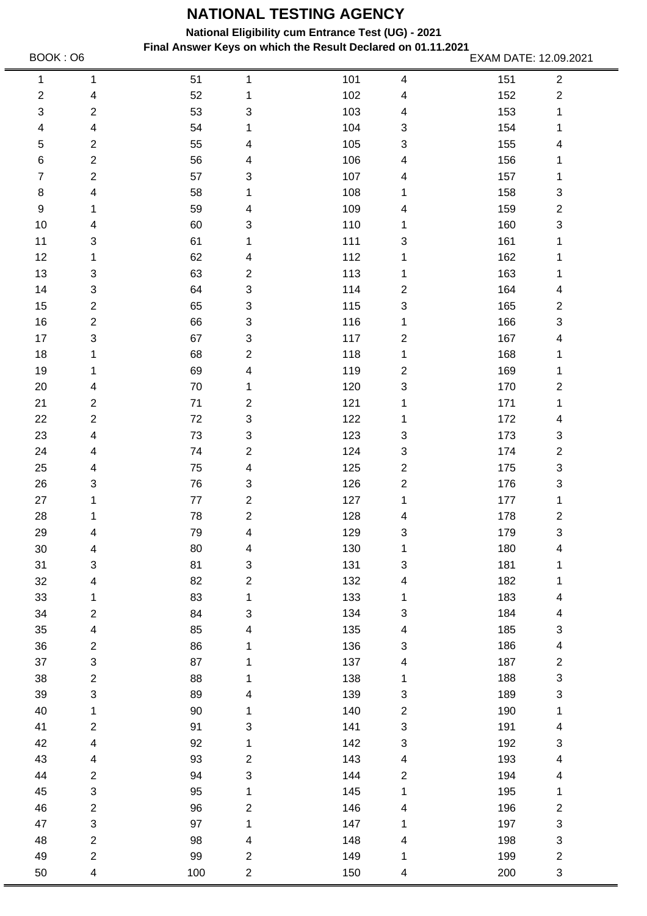**National Eligibility cum Entrance Test (UG) - 2021**

**Final Answer Keys on which the Result Declared on 01.11.2021** BOOK : 06 **EXAM DATE: 12.09.2021** 

150 4

200 3

50 4